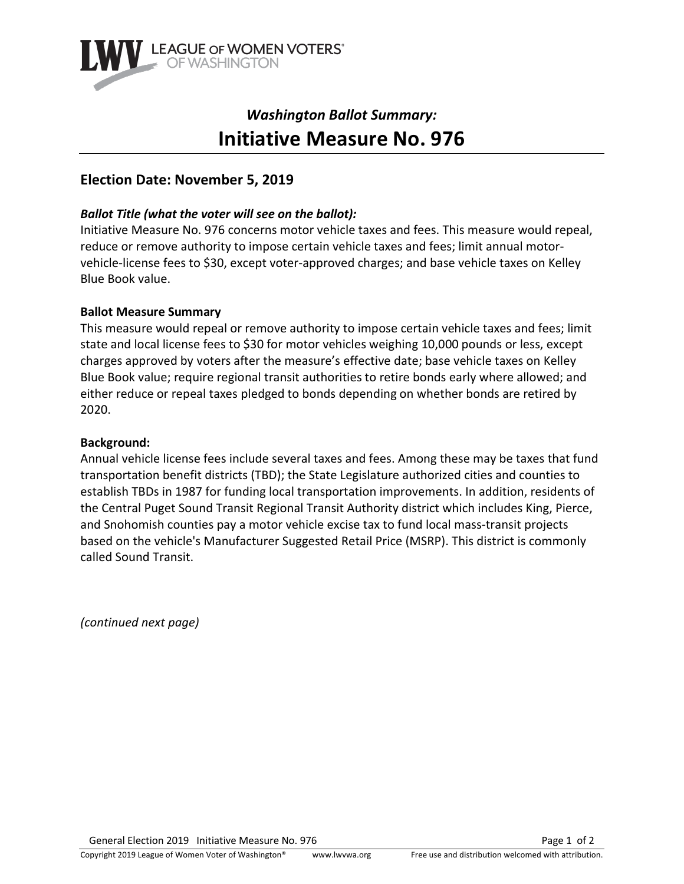

# *Washington Ballot Summary:* **Initiative Measure No. 976**

# **Election Date: November 5, 2019**

# *Ballot Title (what the voter will see on the ballot):*

Initiative Measure No. 976 concerns motor vehicle taxes and fees. This measure would repeal, reduce or remove authority to impose certain vehicle taxes and fees; limit annual motorvehicle-license fees to \$30, except voter-approved charges; and base vehicle taxes on Kelley Blue Book value.

# **Ballot Measure Summary**

This measure would repeal or remove authority to impose certain vehicle taxes and fees; limit state and local license fees to \$30 for motor vehicles weighing 10,000 pounds or less, except charges approved by voters after the measure's effective date; base vehicle taxes on Kelley Blue Book value; require regional transit authorities to retire bonds early where allowed; and either reduce or repeal taxes pledged to bonds depending on whether bonds are retired by 2020.

#### **Background:**

Annual vehicle license fees include several taxes and fees. Among these may be taxes that fund transportation benefit districts (TBD); the State Legislature authorized cities and counties to establish TBDs in 1987 for funding local transportation improvements. In addition, residents of the Central Puget Sound Transit Regional Transit Authority district which includes King, Pierce, and Snohomish counties pay a motor vehicle excise tax to fund local mass-transit projects based on the vehicle's Manufacturer Suggested Retail Price (MSRP). This district is commonly called Sound Transit.

*(continued next page)*